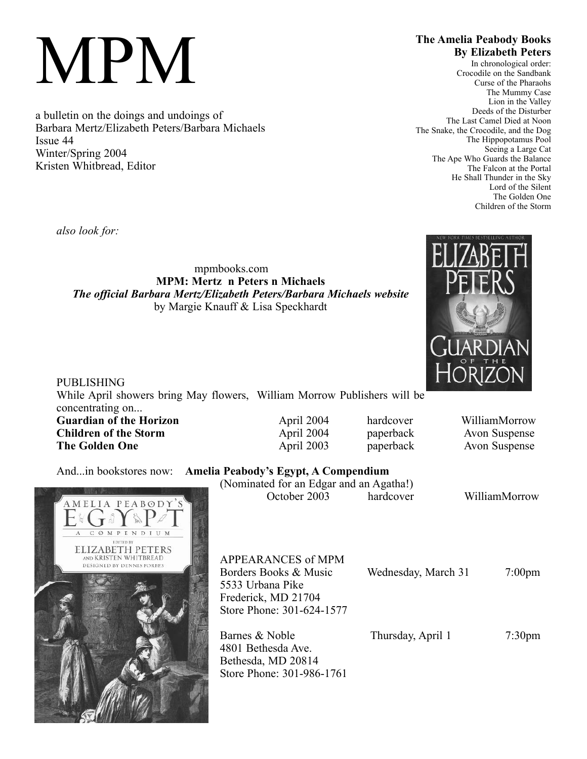# MPM

a bulletin on the doings and undoings of Barbara Mertz/Elizabeth Peters/Barbara Michaels Issue 44 Winter/Spring 2004 Kristen Whitbread, Editor

# **The Amelia Peabody Books By Elizabeth Peters**

In chronological order: Crocodile on the Sandbank Curse of the Pharaohs The Mummy Case Lion in the Valley Deeds of the Disturber The Last Camel Died at Noon The Snake, the Crocodile, and the Dog The Hippopotamus Pool Seeing a Large Cat The Ape Who Guards the Balance The Falcon at the Portal He Shall Thunder in the Sky Lord of the Silent The Golden One Children of the Storm

*also look for:*

mpmbooks.com **MPM: Mertz n Peters n Michaels** *The official Barbara Mertz/Elizabeth Peters/Barbara Michaels website* by Margie Knauff & Lisa Speckhardt



| <b>PUBLISHING</b>                                                        |            |           | <b>TIONIZON</b> |
|--------------------------------------------------------------------------|------------|-----------|-----------------|
| While April showers bring May flowers, William Morrow Publishers will be |            |           |                 |
| concentrating on                                                         |            |           |                 |
| <b>Guardian of the Horizon</b>                                           | April 2004 | hardcover | WilliamMorrow   |
| <b>Children of the Storm</b>                                             | April 2004 | paperback | Avon Suspense   |
| <b>The Golden One</b>                                                    | April 2003 | paperback | Avon Suspense   |
|                                                                          |            |           |                 |

# And...in bookstores now: **Ameli**

| AMELIA PEABODY'S                                   |  |
|----------------------------------------------------|--|
| $G$ of $\mathbb{R}P$                               |  |
| <b>OMPENDIUM</b><br>A<br>$\mathcal{C}$             |  |
| <b>EDITED BY</b>                                   |  |
| <b>ELIZABETH PETERS</b>                            |  |
| AND KRISTEN WHITBREAD<br>DESIGNED BY DENNIS FORBES |  |
|                                                    |  |
|                                                    |  |
|                                                    |  |
|                                                    |  |
|                                                    |  |
|                                                    |  |
|                                                    |  |
| <b>五事前户</b>                                        |  |
|                                                    |  |
|                                                    |  |
|                                                    |  |
|                                                    |  |
|                                                    |  |
|                                                    |  |
|                                                    |  |

| a Peabody's Egypt, A Compendium         |           |  |  |  |
|-----------------------------------------|-----------|--|--|--|
| (Nominated for an Edgar and an Agatha!) |           |  |  |  |
| October 2003                            | hardcover |  |  |  |

WilliamMorrow

| APPEARANCES of MPM        |                     |                  |
|---------------------------|---------------------|------------------|
| Borders Books & Music     | Wednesday, March 31 | $7:00 \text{pm}$ |
| 5533 Urbana Pike          |                     |                  |
| Frederick, MD 21704       |                     |                  |
| Store Phone: 301-624-1577 |                     |                  |
|                           |                     |                  |
| Barnes & Noble            | Thursday, April 1   | $7:30 \text{pm}$ |
| 4801 Bethesda Ave.        |                     |                  |
| Bethesda, MD 20814        |                     |                  |
| Store Phone: 301-986-1761 |                     |                  |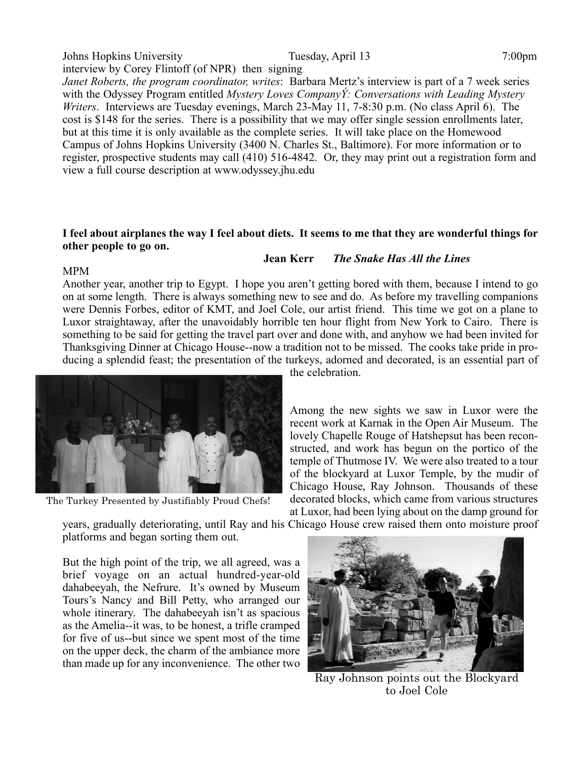# Johns Hopkins University Tuesday, April 13 7:00pm interview by Corey Flintoff (of NPR) then signing

*Janet Roberts, the program coordinator, writes*: Barbara Mertz's interview is part of a 7 week series with the Odyssey Program entitled *Mystery Loves CompanyÝ: Conversations with Leading Mystery Writers*. Interviews are Tuesday evenings, March 23-May 11, 7-8:30 p.m. (No class April 6). The cost is \$148 for the series. There is a possibility that we may offer single session enrollments later, but at this time it is only available as the complete series. It will take place on the Homewood Campus of Johns Hopkins University (3400 N. Charles St., Baltimore). For more information or to register, prospective students may call (410) 516-4842. Or, they may print out a registration form and view a full course description at www.odyssey.jhu.edu

#### **I feel about airplanes the way I feel about diets. It seems to me that they are wonderful things for other people to go on.**

### **Jean Kerr** *The Snake Has All the Lines*

#### MPM

Another year, another trip to Egypt. I hope you aren't getting bored with them, because I intend to go on at some length. There is always something new to see and do. As before my travelling companions were Dennis Forbes, editor of KMT, and Joel Cole, our artist friend. This time we got on a plane to Luxor straightaway, after the unavoidably horrible ten hour flight from New York to Cairo. There is something to be said for getting the travel part over and done with, and anyhow we had been invited for Thanksgiving Dinner at Chicago House--now a tradition not to be missed. The cooks take pride in producing a splendid feast; the presentation of the turkeys, adorned and decorated, is an essential part of



The Turkey Presented by Justifiably Proud Chefs!

the celebration.

Among the new sights we saw in Luxor were the recent work at Karnak in the Open Air Museum. The lovely Chapelle Rouge of Hatshepsut has been reconstructed, and work has begun on the portico of the temple of Thutmose IV. We were also treated to a tour of the blockyard at Luxor Temple, by the mudir of Chicago House, Ray Johnson. Thousands of these decorated blocks, which came from various structures at Luxor, had been lying about on the damp ground for

years, gradually deteriorating, until Ray and his Chicago House crew raised them onto moisture proof platforms and began sorting them out.

But the high point of the trip, we all agreed, was a brief voyage on an actual hundred-year-old dahabeeyah, the Nefrure. It's owned by Museum Tours's Nancy and Bill Petty, who arranged our whole itinerary. The dahabeeyah isn't as spacious as the Amelia--it was, to be honest, a trifle cramped for five of us--but since we spent most of the time on the upper deck, the charm of the ambiance more than made up for any inconvenience. The other two



Ray Johnson points out the Blockyard to Joel Cole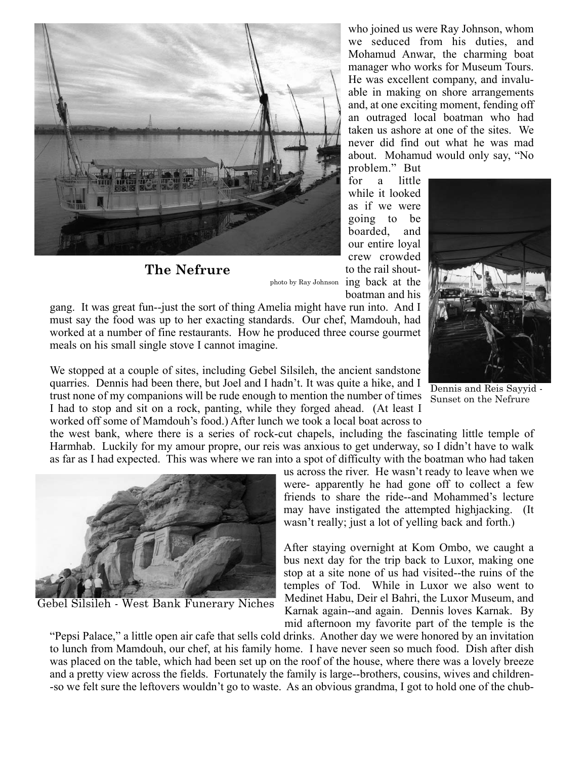

**The Nefrure**

who joined us were Ray Johnson, whom we seduced from his duties, and Mohamud Anwar, the charming boat manager who works for Museum Tours. He was excellent company, and invaluable in making on shore arrangements and, at one exciting moment, fending off an outraged local boatman who had taken us ashore at one of the sites. We never did find out what he was mad about. Mohamud would only say, "No

problem." But for a little while it looked as if we were going to be boarded, and our entire loyal crew crowded to the rail shoutphoto by Ray Johnson ing back at the boatman and his

gang. It was great fun--just the sort of thing Amelia might have run into. And I must say the food was up to her exacting standards. Our chef, Mamdouh, had worked at a number of fine restaurants. How he produced three course gourmet meals on his small single stove I cannot imagine.

We stopped at a couple of sites, including Gebel Silsileh, the ancient sandstone quarries. Dennis had been there, but Joel and I hadn't. It was quite a hike, and I trust none of my companions will be rude enough to mention the number of times I had to stop and sit on a rock, panting, while they forged ahead. (At least I worked off some of Mamdouh's food.) After lunch we took a local boat across to

Dennis and Reis Sayyid - Sunset on the Nefrure

the west bank, where there is a series of rock-cut chapels, including the fascinating little temple of Harmhab. Luckily for my amour propre, our reis was anxious to get underway, so I didn't have to walk as far as I had expected. This was where we ran into a spot of difficulty with the boatman who had taken



Gebel Silsileh - West Bank Funerary Niches

us across the river. He wasn't ready to leave when we were- apparently he had gone off to collect a few friends to share the ride--and Mohammed's lecture may have instigated the attempted highjacking. (It wasn't really; just a lot of yelling back and forth.)

After staying overnight at Kom Ombo, we caught a bus next day for the trip back to Luxor, making one stop at a site none of us had visited--the ruins of the temples of Tod. While in Luxor we also went to Medinet Habu, Deir el Bahri, the Luxor Museum, and Karnak again--and again. Dennis loves Karnak. By mid afternoon my favorite part of the temple is the

"Pepsi Palace," a little open air cafe that sells cold drinks. Another day we were honored by an invitation to lunch from Mamdouh, our chef, at his family home. I have never seen so much food. Dish after dish was placed on the table, which had been set up on the roof of the house, where there was a lovely breeze and a pretty view across the fields. Fortunately the family is large--brothers, cousins, wives and children- -so we felt sure the leftovers wouldn't go to waste. As an obvious grandma, I got to hold one of the chub-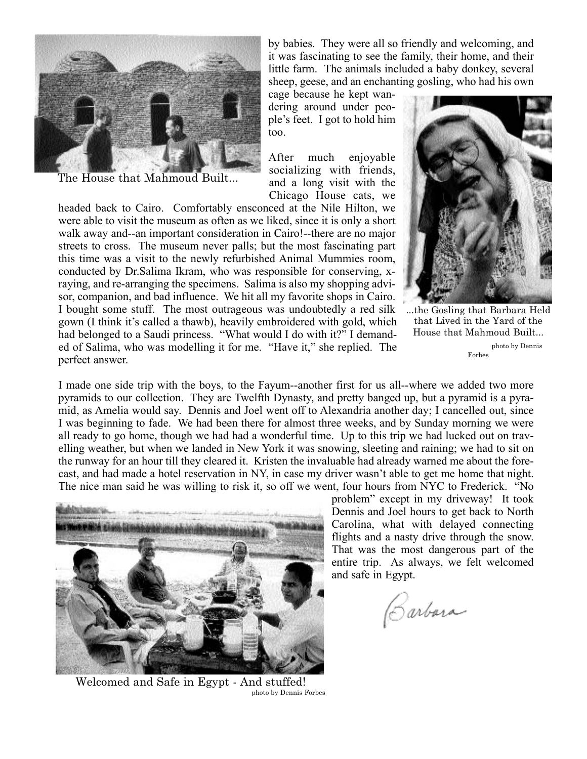

The House that Mahmoud Built...

by babies. They were all so friendly and welcoming, and it was fascinating to see the family, their home, and their little farm. The animals included a baby donkey, several sheep, geese, and an enchanting gosling, who had his own

cage because he kept wandering around under people's feet. I got to hold him too.

After much enjoyable socializing with friends, and a long visit with the Chicago House cats, we

headed back to Cairo. Comfortably ensconced at the Nile Hilton, we were able to visit the museum as often as we liked, since it is only a short walk away and--an important consideration in Cairo!--there are no major streets to cross. The museum never palls; but the most fascinating part this time was a visit to the newly refurbished Animal Mummies room, conducted by Dr.Salima Ikram, who was responsible for conserving, xraying, and re-arranging the specimens. Salima is also my shopping advisor, companion, and bad influence. We hit all my favorite shops in Cairo. I bought some stuff. The most outrageous was undoubtedly a red silk gown (I think it's called a thawb), heavily embroidered with gold, which had belonged to a Saudi princess. "What would I do with it?" I demanded of Salima, who was modelling it for me. "Have it," she replied. The perfect answer.



...the Gosling that Barbara Held that Lived in the Yard of the House that Mahmoud Built...

photo by Dennis Forbes

I made one side trip with the boys, to the Fayum--another first for us all--where we added two more pyramids to our collection. They are Twelfth Dynasty, and pretty banged up, but a pyramid is a pyramid, as Amelia would say. Dennis and Joel went off to Alexandria another day; I cancelled out, since I was beginning to fade. We had been there for almost three weeks, and by Sunday morning we were all ready to go home, though we had had a wonderful time. Up to this trip we had lucked out on travelling weather, but when we landed in New York it was snowing, sleeting and raining; we had to sit on the runway for an hour till they cleared it. Kristen the invaluable had already warned me about the forecast, and had made a hotel reservation in NY, in case my driver wasn't able to get me home that night. The nice man said he was willing to risk it, so off we went, four hours from NYC to Frederick. "No



Welcomed and Safe in Egypt - And stuffed! photo by Dennis Forbes

problem" except in my driveway! It took Dennis and Joel hours to get back to North Carolina, what with delayed connecting flights and a nasty drive through the snow. That was the most dangerous part of the entire trip. As always, we felt welcomed and safe in Egypt.

Carbora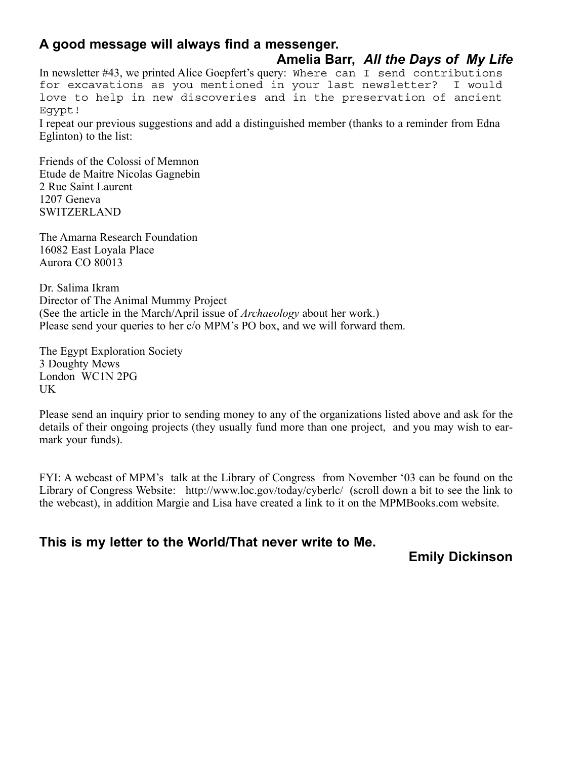# **A good message will always find a messenger.**

# **Amelia Barr,** *All the Days of My Life*

In newsletter #43, we printed Alice Goepfert's query: Where can I send contributions for excavations as you mentioned in your last newsletter? I would love to help in new discoveries and in the preservation of ancient Egypt!

I repeat our previous suggestions and add a distinguished member (thanks to a reminder from Edna Eglinton) to the list:

Friends of the Colossi of Memnon Etude de Maitre Nicolas Gagnebin 2 Rue Saint Laurent 1207 Geneva **SWITZERLAND** 

The Amarna Research Foundation 16082 East Loyala Place Aurora CO 80013

Dr. Salima Ikram Director of The Animal Mummy Project (See the article in the March/April issue of *Archaeology* about her work.) Please send your queries to her c/o MPM's PO box, and we will forward them.

The Egypt Exploration Society 3 Doughty Mews London WC1N 2PG UK

Please send an inquiry prior to sending money to any of the organizations listed above and ask for the details of their ongoing projects (they usually fund more than one project, and you may wish to earmark your funds).

FYI: A webcast of MPM's talk at the Library of Congress from November '03 can be found on the Library of Congress Website: http://www.loc.gov/today/cyberlc/ (scroll down a bit to see the link to the webcast), in addition Margie and Lisa have created a link to it on the MPMBooks.com website.

**This is my letter to the World/That never write to Me.**

**Emily Dickinson**